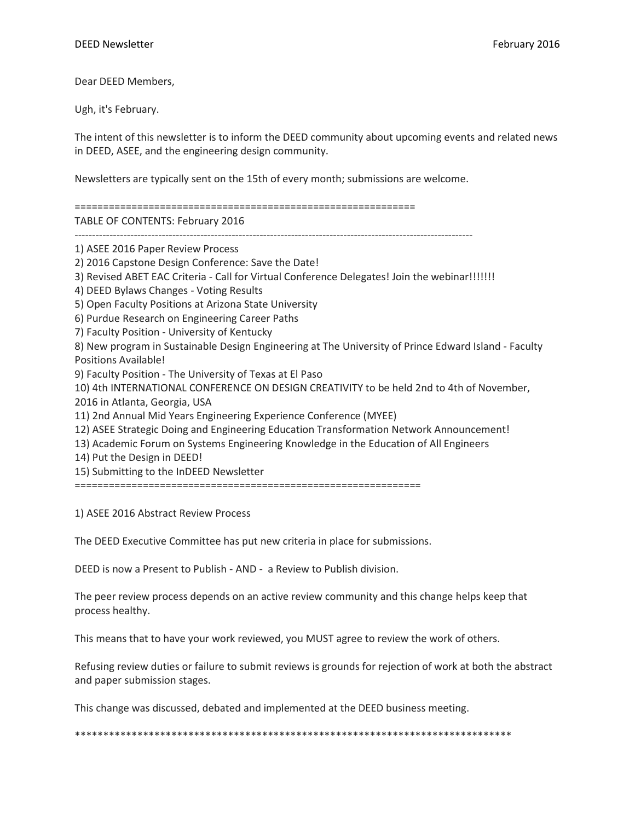Dear DEED Members,

Ugh, it's February.

The intent of this newsletter is to inform the DEED community about upcoming events and related news in DEED, ASEE, and the engineering design community.

Newsletters are typically sent on the 15th of every month; submissions are welcome.

============================================================

TABLE OF CONTENTS: February 2016

------------------------------------------------------------------------------------------------------------------

1) ASEE 2016 Paper Review Process

2) 2016 Capstone Design Conference: Save the Date!

3) Revised ABET EAC Criteria - Call for Virtual Conference Delegates! Join the webinar!!!!!!!

4) DEED Bylaws Changes - Voting Results

5) Open Faculty Positions at Arizona State University

6) Purdue Research on Engineering Career Paths

7) Faculty Position - University of Kentucky

8) New program in Sustainable Design Engineering at The University of Prince Edward Island - Faculty Positions Available!

9) Faculty Position - The University of Texas at El Paso

10) 4th INTERNATIONAL CONFERENCE ON DESIGN CREATIVITY to be held 2nd to 4th of November, 2016 in Atlanta, Georgia, USA

11) 2nd Annual Mid Years Engineering Experience Conference (MYEE)

12) ASEE Strategic Doing and Engineering Education Transformation Network Announcement!

13) Academic Forum on Systems Engineering Knowledge in the Education of All Engineers

14) Put the Design in DEED!

15) Submitting to the InDEED Newsletter

=============================================================

1) ASEE 2016 Abstract Review Process

The DEED Executive Committee has put new criteria in place for submissions.

DEED is now a Present to Publish - AND - a Review to Publish division.

The peer review process depends on an active review community and this change helps keep that process healthy.

This means that to have your work reviewed, you MUST agree to review the work of others.

Refusing review duties or failure to submit reviews is grounds for rejection of work at both the abstract and paper submission stages.

This change was discussed, debated and implemented at the DEED business meeting.

\*\*\*\*\*\*\*\*\*\*\*\*\*\*\*\*\*\*\*\*\*\*\*\*\*\*\*\*\*\*\*\*\*\*\*\*\*\*\*\*\*\*\*\*\*\*\*\*\*\*\*\*\*\*\*\*\*\*\*\*\*\*\*\*\*\*\*\*\*\*\*\*\*\*\*\*\*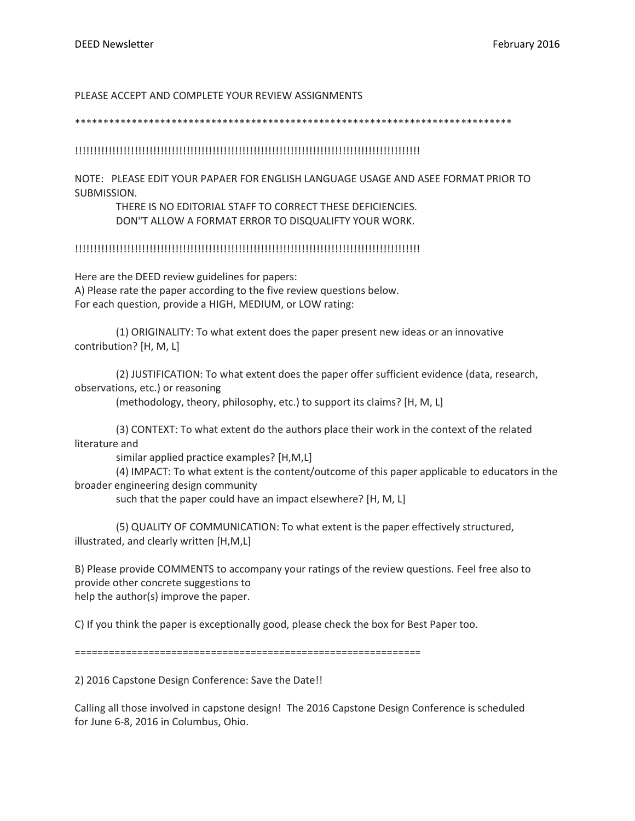### PLEASE ACCEPT AND COMPLETE YOUR REVIEW ASSIGNMENTS

#### \*\*\*\*\*\*\*\*\*\*\*\*\*\*\*\*\*\*\*\*\*\*\*\*\*\*\*\*\*\*\*\*\*\*\*\*\*\*\*\*\*\*\*\*\*\*\*\*\*\*\*\*\*\*\*\*\*\*\*\*\*\*\*\*\*\*\*\*\*\*\*\*\*\*\*\*\*

### !!!!!!!!!!!!!!!!!!!!!!!!!!!!!!!!!!!!!!!!!!!!!!!!!!!!!!!!!!!!!!!!!!!!!!!!!!!!!!!!!!!!!!!!!!!!!

NOTE: PLEASE EDIT YOUR PAPAER FOR ENGLISH LANGUAGE USAGE AND ASEE FORMAT PRIOR TO SUBMISSION.

# THERE IS NO EDITORIAL STAFF TO CORRECT THESE DEFICIENCIES. DON"T ALLOW A FORMAT ERROR TO DISQUALIFTY YOUR WORK.

### !!!!!!!!!!!!!!!!!!!!!!!!!!!!!!!!!!!!!!!!!!!!!!!!!!!!!!!!!!!!!!!!!!!!!!!!!!!!!!!!!!!!!!!!!!!!!

Here are the DEED review guidelines for papers: A) Please rate the paper according to the five review questions below. For each question, provide a HIGH, MEDIUM, or LOW rating:

(1) ORIGINALITY: To what extent does the paper present new ideas or an innovative contribution? [H, M, L]

(2) JUSTIFICATION: To what extent does the paper offer sufficient evidence (data, research, observations, etc.) or reasoning

(methodology, theory, philosophy, etc.) to support its claims? [H, M, L]

(3) CONTEXT: To what extent do the authors place their work in the context of the related literature and

similar applied practice examples? [H,M,L]

(4) IMPACT: To what extent is the content/outcome of this paper applicable to educators in the broader engineering design community

such that the paper could have an impact elsewhere? [H, M, L]

(5) QUALITY OF COMMUNICATION: To what extent is the paper effectively structured, illustrated, and clearly written [H,M,L]

B) Please provide COMMENTS to accompany your ratings of the review questions. Feel free also to provide other concrete suggestions to help the author(s) improve the paper.

C) If you think the paper is exceptionally good, please check the box for Best Paper too.

=============================================================

2) 2016 Capstone Design Conference: Save the Date!!

Calling all those involved in capstone design! The 2016 Capstone Design Conference is scheduled for June 6-8, 2016 in Columbus, Ohio.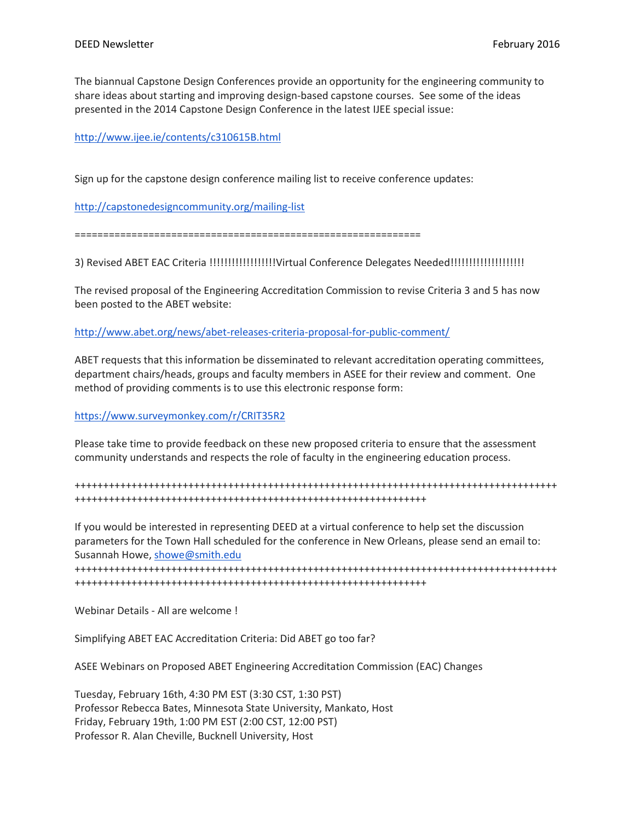The biannual Capstone Design Conferences provide an opportunity for the engineering community to share ideas about starting and improving design-based capstone courses. See some of the ideas presented in the 2014 Capstone Design Conference in the latest IJEE special issue:

<http://www.ijee.ie/contents/c310615B.html>

Sign up for the capstone design conference mailing list to receive conference updates:

<http://capstonedesigncommunity.org/mailing-list>

=============================================================

3) Revised ABET EAC Criteria !!!!!!!!!!!!!!!!!!Virtual Conference Delegates Needed!!!!!!!!!!!!!!!!!!!!

The revised proposal of the Engineering Accreditation Commission to revise Criteria 3 and 5 has now been posted to the ABET website:

<http://www.abet.org/news/abet-releases-criteria-proposal-for-public-comment/>

ABET requests that this information be disseminated to relevant accreditation operating committees, department chairs/heads, groups and faculty members in ASEE for their review and comment. One method of providing comments is to use this electronic response form:

<https://www.surveymonkey.com/r/CRIT35R2>

Please take time to provide feedback on these new proposed criteria to ensure that the assessment community understands and respects the role of faculty in the engineering education process.

+++++++++++++++++++++++++++++++++++++++++++++++++++++++++++++++++++++++++++++++++++++ ++++++++++++++++++++++++++++++++++++++++++++++++++++++++++++++

If you would be interested in representing DEED at a virtual conference to help set the discussion parameters for the Town Hall scheduled for the conference in New Orleans, please send an email to: Susannah Howe, [showe@smith.edu](mailto:showe@smith.edu)

+++++++++++++++++++++++++++++++++++++++++++++++++++++++++++++++++++++++++++++++++++++ ++++++++++++++++++++++++++++++++++++++++++++++++++++++++++++++

Webinar Details - All are welcome !

Simplifying ABET EAC Accreditation Criteria: Did ABET go too far?

ASEE Webinars on Proposed ABET Engineering Accreditation Commission (EAC) Changes

Tuesday, February 16th, 4:30 PM EST (3:30 CST, 1:30 PST) Professor Rebecca Bates, Minnesota State University, Mankato, Host Friday, February 19th, 1:00 PM EST (2:00 CST, 12:00 PST) Professor R. Alan Cheville, Bucknell University, Host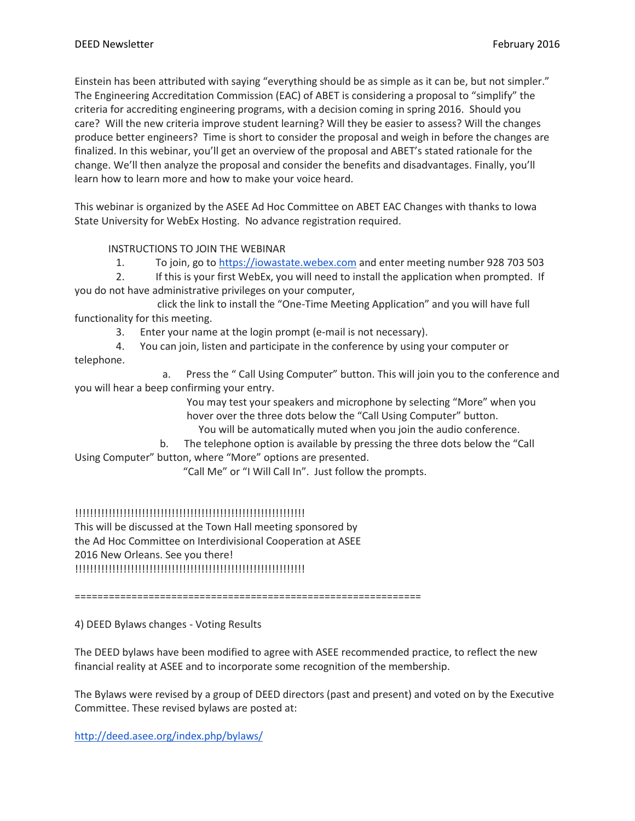Einstein has been attributed with saying "everything should be as simple as it can be, but not simpler." The Engineering Accreditation Commission (EAC) of ABET is considering a proposal to "simplify" the criteria for accrediting engineering programs, with a decision coming in spring 2016. Should you care? Will the new criteria improve student learning? Will they be easier to assess? Will the changes produce better engineers? Time is short to consider the proposal and weigh in before the changes are finalized. In this webinar, you'll get an overview of the proposal and ABET's stated rationale for the change. We'll then analyze the proposal and consider the benefits and disadvantages. Finally, you'll learn how to learn more and how to make your voice heard.

This webinar is organized by the ASEE Ad Hoc Committee on ABET EAC Changes with thanks to Iowa State University for WebEx Hosting. No advance registration required.

INSTRUCTIONS TO JOIN THE WEBINAR

1. To join, go to [https://iowastate.webex.com](https://iowastate.webex.com/) and enter meeting number 928 703 503

2. If this is your first WebEx, you will need to install the application when prompted. If you do not have administrative privileges on your computer,

click the link to install the "One-Time Meeting Application" and you will have full functionality for this meeting.

3. Enter your name at the login prompt (e-mail is not necessary).

4. You can join, listen and participate in the conference by using your computer or telephone.

a. Press the " Call Using Computer" button. This will join you to the conference and you will hear a beep confirming your entry.

> You may test your speakers and microphone by selecting "More" when you hover over the three dots below the "Call Using Computer" button.

You will be automatically muted when you join the audio conference.

b. The telephone option is available by pressing the three dots below the "Call Using Computer" button, where "More" options are presented.

"Call Me" or "I Will Call In". Just follow the prompts.

!!!!!!!!!!!!!!!!!!!!!!!!!!!!!!!!!!!!!!!!!!!!!!!!!!!!!!!!!!!!!!

This will be discussed at the Town Hall meeting sponsored by the Ad Hoc Committee on Interdivisional Cooperation at ASEE 2016 New Orleans. See you there! !!!!!!!!!!!!!!!!!!!!!!!!!!!!!!!!!!!!!!!!!!!!!!!!!!!!!!!!!!!!!!

=============================================================

4) DEED Bylaws changes - Voting Results

The DEED bylaws have been modified to agree with ASEE recommended practice, to reflect the new financial reality at ASEE and to incorporate some recognition of the membership.

The Bylaws were revised by a group of DEED directors (past and present) and voted on by the Executive Committee. These revised bylaws are posted at:

<http://deed.asee.org/index.php/bylaws/>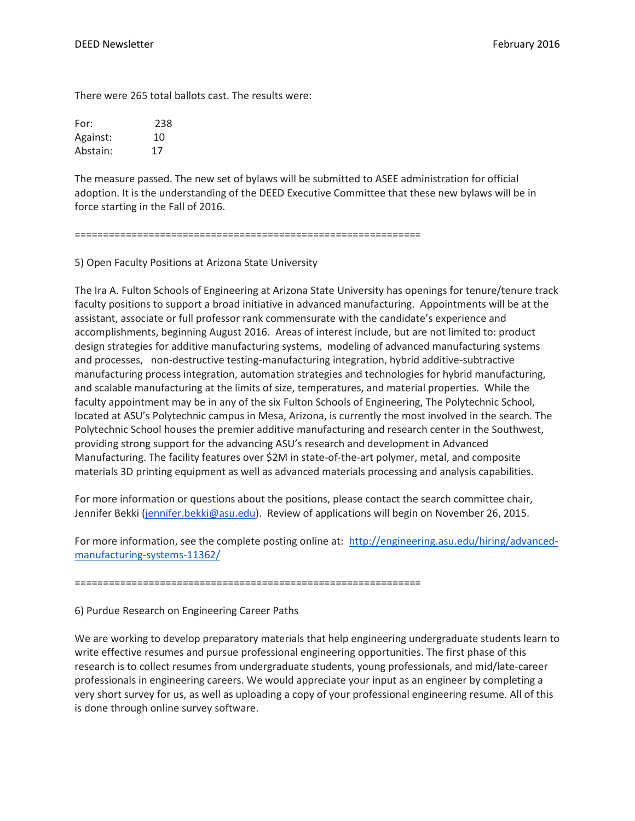There were 265 total ballots cast. The results were:

| For:     | 238 |
|----------|-----|
| Against: | 10  |
| Abstain: | 17  |

The measure passed. The new set of bylaws will be submitted to ASEE administration for official adoption. It is the understanding of the DEED Executive Committee that these new bylaws will be in force starting in the Fall of 2016.

=============================================================

5) Open Faculty Positions at Arizona State University

The Ira A. Fulton Schools of Engineering at Arizona State University has openings for tenure/tenure track faculty positions to support a broad initiative in advanced manufacturing. Appointments will be at the assistant, associate or full professor rank commensurate with the candidate's experience and accomplishments, beginning August 2016. Areas of interest include, but are not limited to: product design strategies for additive manufacturing systems, modeling of advanced manufacturing systems and processes, non-destructive testing-manufacturing integration, hybrid additive-subtractive manufacturing process integration, automation strategies and technologies for hybrid manufacturing, and scalable manufacturing at the limits of size, temperatures, and material properties. While the faculty appointment may be in any of the six Fulton Schools of Engineering, The Polytechnic School, located at ASU's Polytechnic campus in Mesa, Arizona, is currently the most involved in the search. The Polytechnic School houses the premier additive manufacturing and research center in the Southwest, providing strong support for the advancing ASU's research and development in Advanced Manufacturing. The facility features over \$2M in state-of-the-art polymer, metal, and composite materials 3D printing equipment as well as advanced materials processing and analysis capabilities.

For more information or questions about the positions, please contact the search committee chair, Jennifer Bekki [\(jennifer.bekki@asu.edu\)](mailto:jennifer.bekki@asu.edu). Review of applications will begin on November 26, 2015.

For more information, see the complete posting online at: [http://engineering.asu.edu/hiring/advanced](http://engineering.asu.edu/hiring/advanced-manufacturing-systems-11362/)[manufacturing-systems-11362/](http://engineering.asu.edu/hiring/advanced-manufacturing-systems-11362/)

=============================================================

6) Purdue Research on Engineering Career Paths

We are working to develop preparatory materials that help engineering undergraduate students learn to write effective resumes and pursue professional engineering opportunities. The first phase of this research is to collect resumes from undergraduate students, young professionals, and mid/late-career professionals in engineering careers. We would appreciate your input as an engineer by completing a very short survey for us, as well as uploading a copy of your professional engineering resume. All of this is done through online survey software.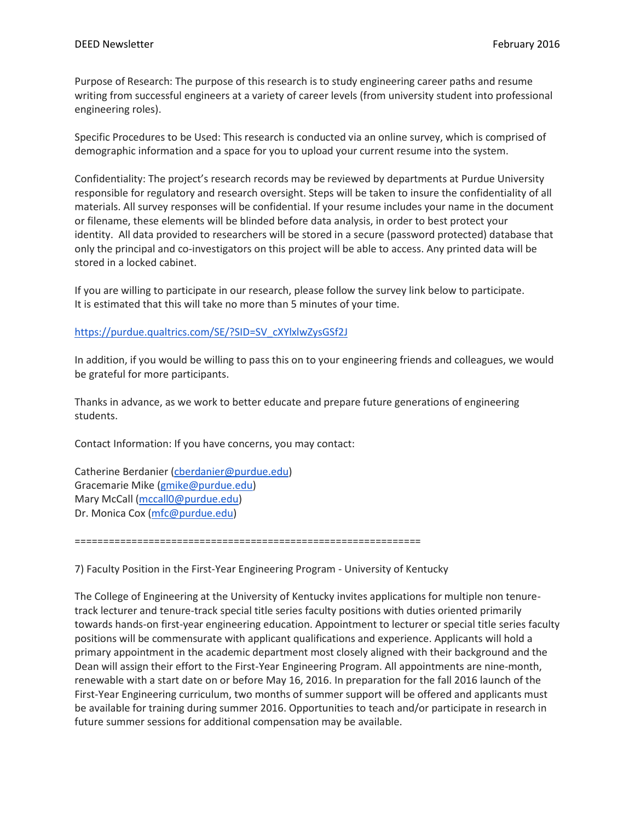Purpose of Research: The purpose of this research is to study engineering career paths and resume writing from successful engineers at a variety of career levels (from university student into professional engineering roles).

Specific Procedures to be Used: This research is conducted via an online survey, which is comprised of demographic information and a space for you to upload your current resume into the system.

Confidentiality: The project's research records may be reviewed by departments at Purdue University responsible for regulatory and research oversight. Steps will be taken to insure the confidentiality of all materials. All survey responses will be confidential. If your resume includes your name in the document or filename, these elements will be blinded before data analysis, in order to best protect your identity. All data provided to researchers will be stored in a secure (password protected) database that only the principal and co-investigators on this project will be able to access. Any printed data will be stored in a locked cabinet.

If you are willing to participate in our research, please follow the survey link below to participate. It is estimated that this will take no more than 5 minutes of your time.

# [https://purdue.qualtrics.com/SE/?SID=SV\\_cXYlxlwZysGSf2J](https://purdue.qualtrics.com/SE/?SID=SV_cXYlxlwZysGSf2J)

In addition, if you would be willing to pass this on to your engineering friends and colleagues, we would be grateful for more participants.

Thanks in advance, as we work to better educate and prepare future generations of engineering students.

Contact Information: If you have concerns, you may contact:

Catherine Berdanier [\(cberdanier@purdue.edu\)](mailto:cberdanier@purdue.edu) Gracemarie Mike [\(gmike@purdue.edu\)](mailto:gmike@purdue.edu) Mary McCall [\(mccall0@purdue.edu\)](mailto:mccall0@purdue.edu) Dr. Monica Cox [\(mfc@purdue.edu\)](mailto:mfc@purdue.edu)

=============================================================

7) Faculty Position in the First-Year Engineering Program - University of Kentucky

The College of Engineering at the University of Kentucky invites applications for multiple non tenuretrack lecturer and tenure-track special title series faculty positions with duties oriented primarily towards hands-on first-year engineering education. Appointment to lecturer or special title series faculty positions will be commensurate with applicant qualifications and experience. Applicants will hold a primary appointment in the academic department most closely aligned with their background and the Dean will assign their effort to the First-Year Engineering Program. All appointments are nine-month, renewable with a start date on or before May 16, 2016. In preparation for the fall 2016 launch of the First-Year Engineering curriculum, two months of summer support will be offered and applicants must be available for training during summer 2016. Opportunities to teach and/or participate in research in future summer sessions for additional compensation may be available.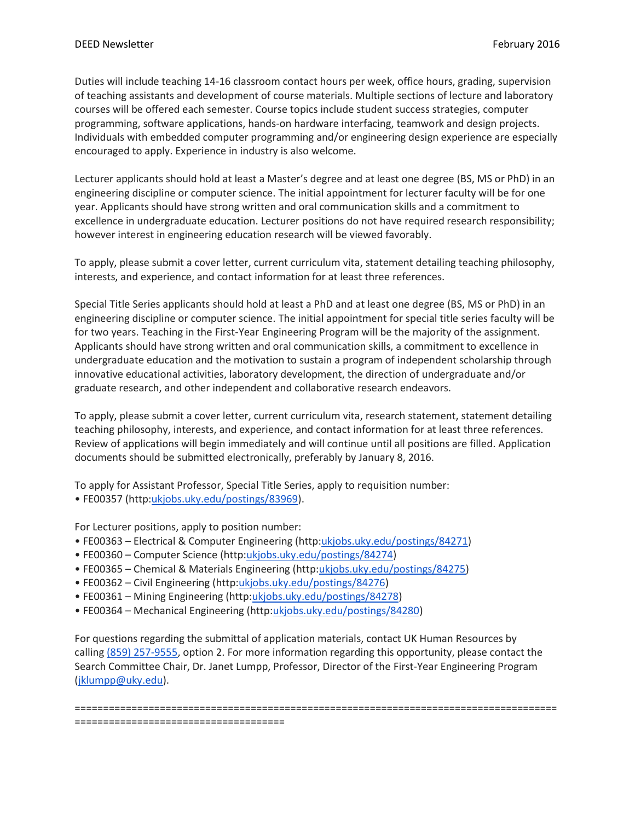Duties will include teaching 14-16 classroom contact hours per week, office hours, grading, supervision of teaching assistants and development of course materials. Multiple sections of lecture and laboratory courses will be offered each semester. Course topics include student success strategies, computer programming, software applications, hands-on hardware interfacing, teamwork and design projects. Individuals with embedded computer programming and/or engineering design experience are especially encouraged to apply. Experience in industry is also welcome.

Lecturer applicants should hold at least a Master's degree and at least one degree (BS, MS or PhD) in an engineering discipline or computer science. The initial appointment for lecturer faculty will be for one year. Applicants should have strong written and oral communication skills and a commitment to excellence in undergraduate education. Lecturer positions do not have required research responsibility; however interest in engineering education research will be viewed favorably.

To apply, please submit a cover letter, current curriculum vita, statement detailing teaching philosophy, interests, and experience, and contact information for at least three references.

Special Title Series applicants should hold at least a PhD and at least one degree (BS, MS or PhD) in an engineering discipline or computer science. The initial appointment for special title series faculty will be for two years. Teaching in the First-Year Engineering Program will be the majority of the assignment. Applicants should have strong written and oral communication skills, a commitment to excellence in undergraduate education and the motivation to sustain a program of independent scholarship through innovative educational activities, laboratory development, the direction of undergraduate and/or graduate research, and other independent and collaborative research endeavors.

To apply, please submit a cover letter, current curriculum vita, research statement, statement detailing teaching philosophy, interests, and experience, and contact information for at least three references. Review of applications will begin immediately and will continue until all positions are filled. Application documents should be submitted electronically, preferably by January 8, 2016.

To apply for Assistant Professor, Special Title Series, apply to requisition number:

• FE00357 (http:[ukjobs.uky.edu/postings/83969\)](http://ukjobs.uky.edu/postings/83969).

For Lecturer positions, apply to position number:

- FE00363 Electrical & Computer Engineering (http[:ukjobs.uky.edu/postings/84271\)](http://ukjobs.uky.edu/postings/84271)
- FE00360 Computer Science (http[:ukjobs.uky.edu/postings/84274\)](http://ukjobs.uky.edu/postings/84274)
- FE00365 Chemical & Materials Engineering (http[:ukjobs.uky.edu/postings/84275\)](http://ukjobs.uky.edu/postings/84275)
- FE00362 Civil Engineering (http[:ukjobs.uky.edu/postings/84276\)](http://ukjobs.uky.edu/postings/84276)
- FE00361 Mining Engineering (http[:ukjobs.uky.edu/postings/84278\)](http://ukjobs.uky.edu/postings/84278)
- FE00364 Mechanical Engineering (http[:ukjobs.uky.edu/postings/84280\)](http://ukjobs.uky.edu/postings/84280)

For questions regarding the submittal of application materials, contact UK Human Resources by calling [\(859\) 257-9555,](tel:%28859%29%20257-9555) option 2. For more information regarding this opportunity, please contact the Search Committee Chair, Dr. Janet Lumpp, Professor, Director of the First-Year Engineering Program [\(jklumpp@uky.edu\)](mailto:jklumpp@uky.edu).

===================================================================================== =====================================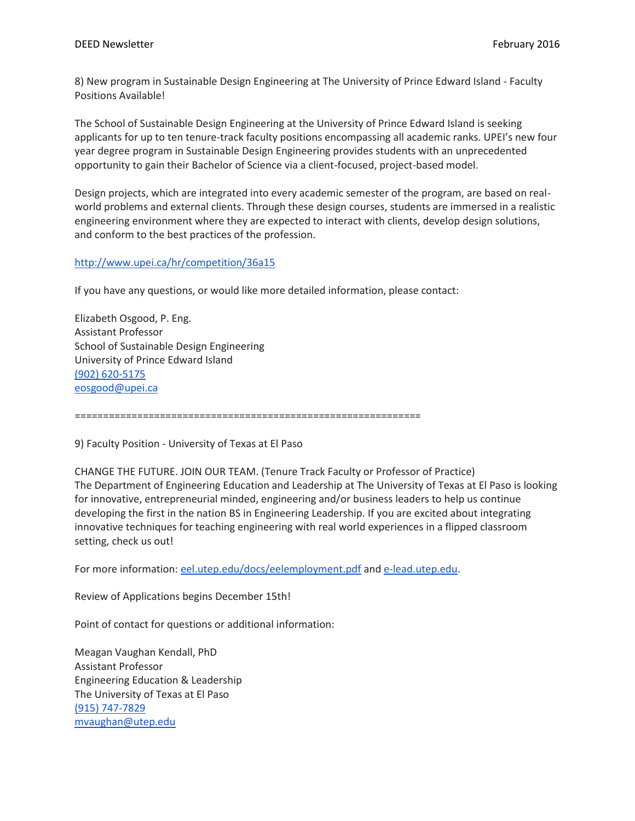8) New program in Sustainable Design Engineering at The University of Prince Edward Island - Faculty Positions Available!

The School of Sustainable Design Engineering at the University of Prince Edward Island is seeking applicants for up to ten tenure-track faculty positions encompassing all academic ranks. UPEI's new four year degree program in Sustainable Design Engineering provides students with an unprecedented opportunity to gain their Bachelor of Science via a client-focused, project-based model.

Design projects, which are integrated into every academic semester of the program, are based on realworld problems and external clients. Through these design courses, students are immersed in a realistic engineering environment where they are expected to interact with clients, develop design solutions, and conform to the best practices of the profession.

# <http://www.upei.ca/hr/competition/36a15>

If you have any questions, or would like more detailed information, please contact:

Elizabeth Osgood, P. Eng. Assistant Professor School of Sustainable Design Engineering University of Prince Edward Island [\(902\) 620-5175](tel:%28902%29%20620-5175) [eosgood@upei.ca](mailto:eosgood@upei.ca)

=============================================================

9) Faculty Position - University of Texas at El Paso

CHANGE THE FUTURE. JOIN OUR TEAM. (Tenure Track Faculty or Professor of Practice) The Department of Engineering Education and Leadership at The University of Texas at El Paso is looking for innovative, entrepreneurial minded, engineering and/or business leaders to help us continue developing the first in the nation BS in Engineering Leadership. If you are excited about integrating innovative techniques for teaching engineering with real world experiences in a flipped classroom setting, check us out!

For more information: [eel.utep.edu/docs/eelemployment.pdf](http://eel.utep.edu/docs/eelemployment.pdf) and [e-lead.utep.edu.](http://e-lead.utep.edu/)

Review of Applications begins December 15th!

Point of contact for questions or additional information:

Meagan Vaughan Kendall, PhD Assistant Professor Engineering Education & Leadership The University of Texas at El Paso [\(915\) 747-7829](tel:%28915%29%20747-7829) [mvaughan@utep.edu](mailto:mvaughan@utep.edu)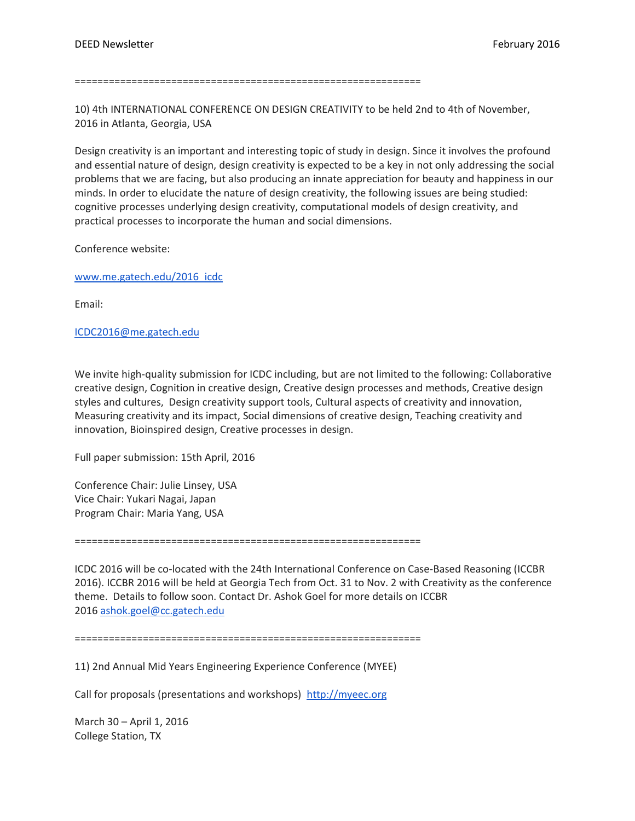=============================================================

10) 4th INTERNATIONAL CONFERENCE ON DESIGN CREATIVITY to be held 2nd to 4th of November, 2016 in Atlanta, Georgia, USA

Design creativity is an important and interesting topic of study in design. Since it involves the profound and essential nature of design, design creativity is expected to be a key in not only addressing the social problems that we are facing, but also producing an innate appreciation for beauty and happiness in our minds. In order to elucidate the nature of design creativity, the following issues are being studied: cognitive processes underlying design creativity, computational models of design creativity, and practical processes to incorporate the human and social dimensions.

Conference website:

[www.me.gatech.edu/2016\\_icdc](http://www.me.gatech.edu/2016_icdc)

Email:

[ICDC2016@me.gatech.edu](mailto:ICDC2016@me.gatech.edu)

We invite high-quality submission for ICDC including, but are not limited to the following: Collaborative creative design, Cognition in creative design, Creative design processes and methods, Creative design styles and cultures, Design creativity support tools, Cultural aspects of creativity and innovation, Measuring creativity and its impact, Social dimensions of creative design, Teaching creativity and innovation, Bioinspired design, Creative processes in design.

Full paper submission: 15th April, 2016

Conference Chair: Julie Linsey, USA Vice Chair: Yukari Nagai, Japan Program Chair: Maria Yang, USA

=============================================================

ICDC 2016 will be co-located with the 24th International Conference on Case-Based Reasoning (ICCBR 2016). ICCBR 2016 will be held at Georgia Tech from Oct. 31 to Nov. 2 with Creativity as the conference theme. Details to follow soon. Contact Dr. Ashok Goel for more details on ICCBR 2016 [ashok.goel@cc.gatech.edu](mailto:ashok.goel@cc.gatech.edu)

=============================================================

11) 2nd Annual Mid Years Engineering Experience Conference (MYEE)

Call for proposals (presentations and workshops) [http://myeec.org](http://myeec.org/)

March 30 – April 1, 2016 College Station, TX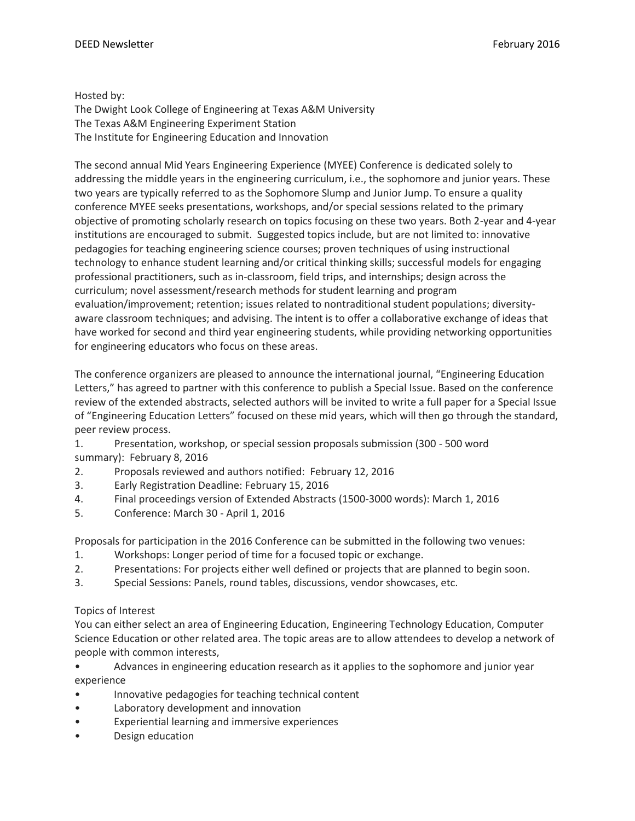### Hosted by:

The Dwight Look College of Engineering at Texas A&M University The Texas A&M Engineering Experiment Station The Institute for Engineering Education and Innovation

The second annual Mid Years Engineering Experience (MYEE) Conference is dedicated solely to addressing the middle years in the engineering curriculum, i.e., the sophomore and junior years. These two years are typically referred to as the Sophomore Slump and Junior Jump. To ensure a quality conference MYEE seeks presentations, workshops, and/or special sessions related to the primary objective of promoting scholarly research on topics focusing on these two years. Both 2-year and 4-year institutions are encouraged to submit. Suggested topics include, but are not limited to: innovative pedagogies for teaching engineering science courses; proven techniques of using instructional technology to enhance student learning and/or critical thinking skills; successful models for engaging professional practitioners, such as in-classroom, field trips, and internships; design across the curriculum; novel assessment/research methods for student learning and program evaluation/improvement; retention; issues related to nontraditional student populations; diversityaware classroom techniques; and advising. The intent is to offer a collaborative exchange of ideas that have worked for second and third year engineering students, while providing networking opportunities for engineering educators who focus on these areas.

The conference organizers are pleased to announce the international journal, "Engineering Education Letters," has agreed to partner with this conference to publish a Special Issue. Based on the conference review of the extended abstracts, selected authors will be invited to write a full paper for a Special Issue of "Engineering Education Letters" focused on these mid years, which will then go through the standard, peer review process.

- 1. Presentation, workshop, or special session proposals submission (300 500 word summary): February 8, 2016
- 2. Proposals reviewed and authors notified: February 12, 2016
- 3. Early Registration Deadline: February 15, 2016
- 4. Final proceedings version of Extended Abstracts (1500-3000 words): March 1, 2016
- 5. Conference: March 30 April 1, 2016

Proposals for participation in the 2016 Conference can be submitted in the following two venues:

- 1. Workshops: Longer period of time for a focused topic or exchange.
- 2. Presentations: For projects either well defined or projects that are planned to begin soon.
- 3. Special Sessions: Panels, round tables, discussions, vendor showcases, etc.

# Topics of Interest

You can either select an area of Engineering Education, Engineering Technology Education, Computer Science Education or other related area. The topic areas are to allow attendees to develop a network of people with common interests,

- Advances in engineering education research as it applies to the sophomore and junior year experience
- Innovative pedagogies for teaching technical content
- Laboratory development and innovation
- Experiential learning and immersive experiences
- Design education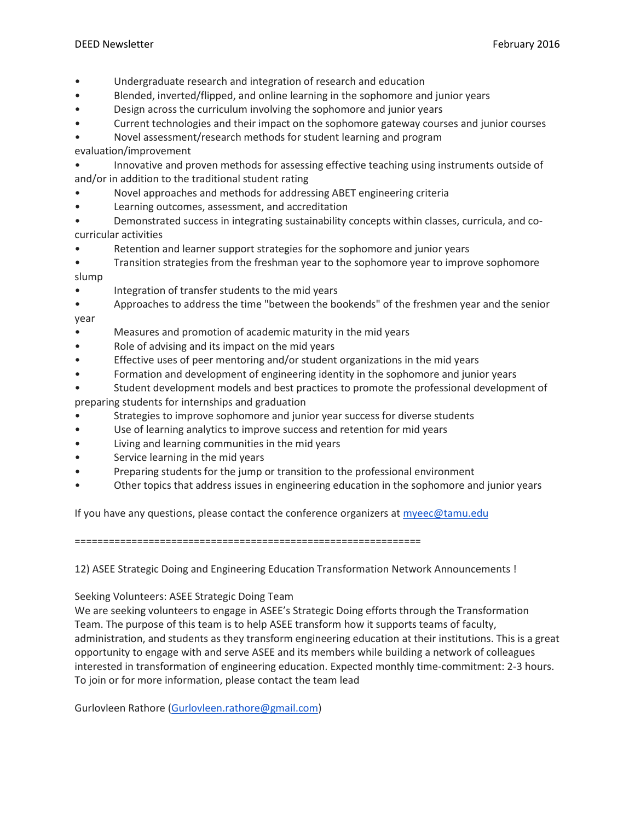- Undergraduate research and integration of research and education
- Blended, inverted/flipped, and online learning in the sophomore and junior years
- Design across the curriculum involving the sophomore and junior years
- Current technologies and their impact on the sophomore gateway courses and junior courses
- Novel assessment/research methods for student learning and program

evaluation/improvement

- Innovative and proven methods for assessing effective teaching using instruments outside of and/or in addition to the traditional student rating
- Novel approaches and methods for addressing ABET engineering criteria
- Learning outcomes, assessment, and accreditation
- Demonstrated success in integrating sustainability concepts within classes, curricula, and cocurricular activities
- Retention and learner support strategies for the sophomore and junior years
- Transition strategies from the freshman year to the sophomore year to improve sophomore slump
- Integration of transfer students to the mid years
- Approaches to address the time "between the bookends" of the freshmen year and the senior year
- Measures and promotion of academic maturity in the mid years
- Role of advising and its impact on the mid years
- Effective uses of peer mentoring and/or student organizations in the mid years
- Formation and development of engineering identity in the sophomore and junior years
- Student development models and best practices to promote the professional development of preparing students for internships and graduation
- Strategies to improve sophomore and junior year success for diverse students
- Use of learning analytics to improve success and retention for mid years
- Living and learning communities in the mid years
- Service learning in the mid years
- Preparing students for the jump or transition to the professional environment
- Other topics that address issues in engineering education in the sophomore and junior years

If you have any questions, please contact the conference organizers at  $m$ yeec@tamu.edu

=============================================================

12) ASEE Strategic Doing and Engineering Education Transformation Network Announcements !

Seeking Volunteers: ASEE Strategic Doing Team

We are seeking volunteers to engage in ASEE's Strategic Doing efforts through the Transformation Team. The purpose of this team is to help ASEE transform how it supports teams of faculty, administration, and students as they transform engineering education at their institutions. This is a great opportunity to engage with and serve ASEE and its members while building a network of colleagues interested in transformation of engineering education. Expected monthly time-commitment: 2-3 hours. To join or for more information, please contact the team lead

Gurlovleen Rathore [\(Gurlovleen.rathore@gmail.com\)](mailto:Gurlovleen.rathore@gmail.com)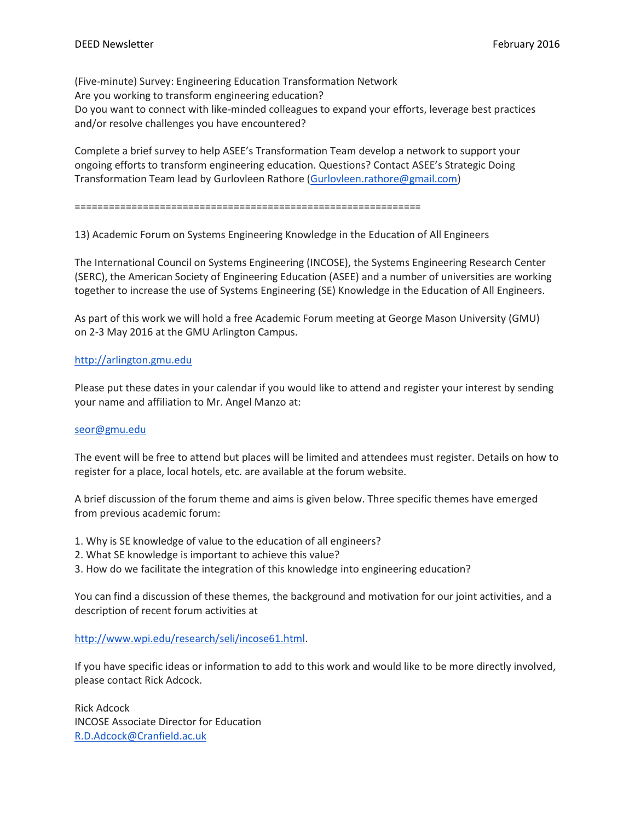(Five-minute) Survey: Engineering Education Transformation Network Are you working to transform engineering education? Do you want to connect with like-minded colleagues to expand your efforts, leverage best practices and/or resolve challenges you have encountered?

Complete a brief survey to help ASEE's Transformation Team develop a network to support your ongoing efforts to transform engineering education. Questions? Contact ASEE's Strategic Doing Transformation Team lead by Gurlovleen Rathore [\(Gurlovleen.rathore@gmail.com\)](mailto:Gurlovleen.rathore@gmail.com)

=============================================================

13) Academic Forum on Systems Engineering Knowledge in the Education of All Engineers

The International Council on Systems Engineering (INCOSE), the Systems Engineering Research Center (SERC), the American Society of Engineering Education (ASEE) and a number of universities are working together to increase the use of Systems Engineering (SE) Knowledge in the Education of All Engineers.

As part of this work we will hold a free Academic Forum meeting at George Mason University (GMU) on 2-3 May 2016 at the GMU Arlington Campus.

### [http://arlington.gmu.edu](http://arlington.gmu.edu/)

Please put these dates in your calendar if you would like to attend and register your interest by sending your name and affiliation to Mr. Angel Manzo at:

#### [seor@gmu.edu](mailto:seor@gmu.edu)

The event will be free to attend but places will be limited and attendees must register. Details on how to register for a place, local hotels, etc. are available at the forum website.

A brief discussion of the forum theme and aims is given below. Three specific themes have emerged from previous academic forum:

- 1. Why is SE knowledge of value to the education of all engineers?
- 2. What SE knowledge is important to achieve this value?
- 3. How do we facilitate the integration of this knowledge into engineering education?

You can find a discussion of these themes, the background and motivation for our joint activities, and a description of recent forum activities at

[http://www.wpi.edu/research/seli/incose61.html.](http://www.wpi.edu/research/seli/incose61.html)

If you have specific ideas or information to add to this work and would like to be more directly involved, please contact Rick Adcock.

Rick Adcock INCOSE Associate Director for Education [R.D.Adcock@Cranfield.ac.uk](mailto:R.D.Adcock@Cranfield.ac.uk)